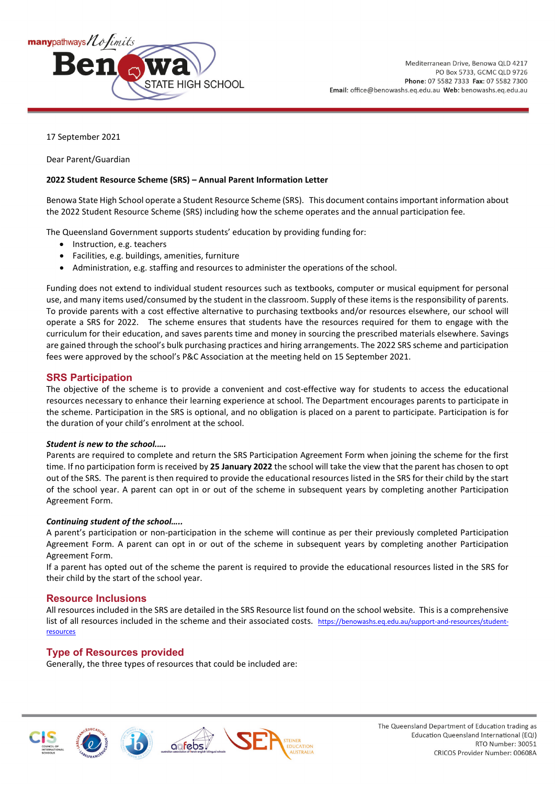

17 September 2021

Dear Parent/Guardian

#### **2022 Student Resource Scheme (SRS) – Annual Parent Information Letter**

Benowa State High School operate a Student Resource Scheme (SRS). This document contains important information about the 2022 Student Resource Scheme (SRS) including how the scheme operates and the annual participation fee.

The Queensland Government supports students' education by providing funding for:

- Instruction, e.g. teachers
- Facilities, e.g. buildings, amenities, furniture
- Administration, e.g. staffing and resources to administer the operations of the school.

Funding does not extend to individual student resources such as textbooks, computer or musical equipment for personal use, and many items used/consumed by the student in the classroom. Supply of these items is the responsibility of parents. To provide parents with a cost effective alternative to purchasing textbooks and/or resources elsewhere, our school will operate a SRS for 2022. The scheme ensures that students have the resources required for them to engage with the curriculum for their education, and saves parents time and money in sourcing the prescribed materials elsewhere. Savings are gained through the school's bulk purchasing practices and hiring arrangements. The 2022 SRS scheme and participation fees were approved by the school's P&C Association at the meeting held on 15 September 2021.

## **SRS Participation**

The objective of the scheme is to provide a convenient and cost-effective way for students to access the educational resources necessary to enhance their learning experience at school. The Department encourages parents to participate in the scheme. Participation in the SRS is optional, and no obligation is placed on a parent to participate. Participation is for the duration of your child's enrolment at the school.

#### *Student is new to the school.….*

Parents are required to complete and return the SRS Participation Agreement Form when joining the scheme for the first time. If no participation form is received by **25 January 2022** the school will take the view that the parent has chosen to opt out of the SRS. The parent is then required to provide the educational resources listed in the SRS for their child by the start of the school year. A parent can opt in or out of the scheme in subsequent years by completing another Participation Agreement Form.

#### *Continuing student of the school…..*

A parent's participation or non-participation in the scheme will continue as per their previously completed Participation Agreement Form. A parent can opt in or out of the scheme in subsequent years by completing another Participation Agreement Form.

If a parent has opted out of the scheme the parent is required to provide the educational resources listed in the SRS for their child by the start of the school year.

## **Resource Inclusions**

All resources included in the SRS are detailed in the SRS Resource list found on the school website. This is a comprehensive list of all resources included in the scheme and their associated costs. [https://benowashs.eq.edu.au/support-and-resources/student](https://benowashs.eq.edu.au/support-and-resources/student-resources)**[resources](https://benowashs.eq.edu.au/support-and-resources/student-resources)** 

## **Type of Resources provided**

Generally, the three types of resources that could be included are: